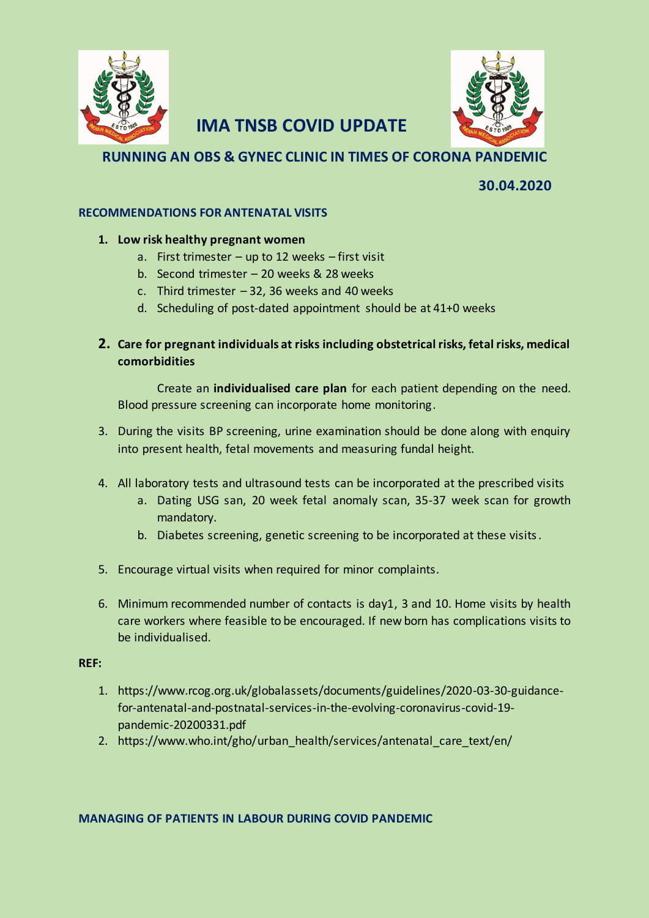

# **IMA TNSB COVID UPDATE**

## **RUNNING AN OBS & GYNEC CLINIC IN TIMES OF CORONA PANDEMIC**

 **30.04.2020**

### **RECOMMENDATIONS FOR ANTENATAL VISITS**

### **1. Low risk healthy pregnant women**

- a. First trimester up to 12 weeks first visit
- b. Second trimester 20 weeks & 28 weeks
- c. Third trimester  $-32$ , 36 weeks and 40 weeks
- d. Scheduling of post-dated appointment should be at 41+0 weeks
- **2. Care for pregnant individuals at risks including obstetrical risks, fetal risks, medical comorbidities**

Create an **individualised care plan** for each patient depending on the need. Blood pressure screening can incorporate home monitoring.

- 3. During the visits BP screening, urine examination should be done along with enquiry into present health, fetal movements and measuring fundal height.
- 4. All laboratory tests and ultrasound tests can be incorporated at the prescribed visits
	- a. Dating USG san, 20 week fetal anomaly scan, 35-37 week scan for growth mandatory.
	- b. Diabetes screening, genetic screening to be incorporated at these visits.
- 5. Encourage virtual visits when required for minor complaints.
- 6. Minimum recommended number of contacts is day1, 3 and 10. Home visits by health care workers where feasible to be encouraged. If new born has complications visits to be individualised.

#### **REF:**

- 1. https://www.rcog.org.uk/globalassets/documents/guidelines/2020-03-30-guidancefor-antenatal-and-postnatal-services-in-the-evolving-coronavirus-covid-19 pandemic-20200331.pdf
- 2. https://www.who.int/gho/urban\_health/services/antenatal\_care\_text/en/

#### **MANAGING OF PATIENTS IN LABOUR DURING COVID PANDEMIC**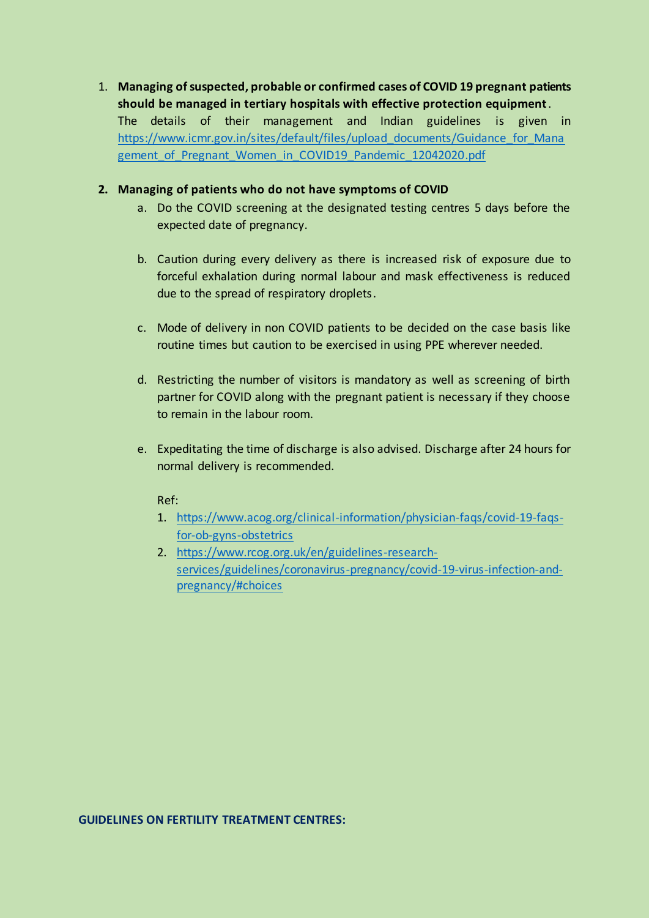1. **Managing of suspected, probable or confirmed cases of COVID 19 pregnant patients should be managed in tertiary hospitals with effective protection equipment**. The details of their management and Indian guidelines is given in [https://www.icmr.gov.in/sites/default/files/upload\\_documents/Guidance\\_for\\_Mana](https://www.icmr.gov.in/sites/default/files/upload_documents/Guidance_for_Management_of_Pregnant_Women_in_COVID19_Pandemic_12042020.pdf) [gement\\_of\\_Pregnant\\_Women\\_in\\_COVID19\\_Pandemic\\_12042020.pdf](https://www.icmr.gov.in/sites/default/files/upload_documents/Guidance_for_Management_of_Pregnant_Women_in_COVID19_Pandemic_12042020.pdf)

#### **2. Managing of patients who do not have symptoms of COVID**

- a. Do the COVID screening at the designated testing centres 5 days before the expected date of pregnancy.
- b. Caution during every delivery as there is increased risk of exposure due to forceful exhalation during normal labour and mask effectiveness is reduced due to the spread of respiratory droplets.
- c. Mode of delivery in non COVID patients to be decided on the case basis like routine times but caution to be exercised in using PPE wherever needed.
- d. Restricting the number of visitors is mandatory as well as screening of birth partner for COVID along with the pregnant patient is necessary if they choose to remain in the labour room.
- e. Expeditating the time of discharge is also advised. Discharge after 24 hours for normal delivery is recommended.

#### Ref:

- 1. [https://www.acog.org/clinical-information/physician-faqs/covid-19-faqs](https://www.acog.org/clinical-information/physician-faqs/covid-19-faqs-for-ob-gyns-obstetrics)[for-ob-gyns-obstetrics](https://www.acog.org/clinical-information/physician-faqs/covid-19-faqs-for-ob-gyns-obstetrics)
- 2. [https://www.rcog.org.uk/en/guidelines-research](https://www.rcog.org.uk/en/guidelines-research-services/guidelines/coronavirus-pregnancy/covid-19-virus-infection-and-pregnancy/#choices)[services/guidelines/coronavirus-pregnancy/covid-19-virus-infection-and](https://www.rcog.org.uk/en/guidelines-research-services/guidelines/coronavirus-pregnancy/covid-19-virus-infection-and-pregnancy/#choices)[pregnancy/#choices](https://www.rcog.org.uk/en/guidelines-research-services/guidelines/coronavirus-pregnancy/covid-19-virus-infection-and-pregnancy/#choices)

#### **GUIDELINES ON FERTILITY TREATMENT CENTRES:**